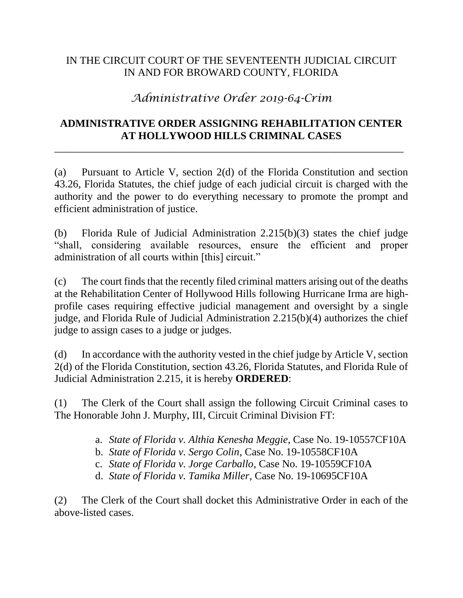## IN THE CIRCUIT COURT OF THE SEVENTEENTH JUDICIAL CIRCUIT IN AND FOR BROWARD COUNTY, FLORIDA

## *Administrative Order 2019-64-Crim*

## **ADMINISTRATIVE ORDER ASSIGNING REHABILITATION CENTER AT HOLLYWOOD HILLS CRIMINAL CASES**

 $\overline{a_1}$  ,  $\overline{a_2}$  ,  $\overline{a_3}$  ,  $\overline{a_4}$  ,  $\overline{a_5}$  ,  $\overline{a_6}$  ,  $\overline{a_7}$  ,  $\overline{a_8}$  ,  $\overline{a_9}$  ,  $\overline{a_9}$  ,  $\overline{a_9}$  ,  $\overline{a_9}$  ,  $\overline{a_9}$  ,  $\overline{a_9}$  ,  $\overline{a_9}$  ,  $\overline{a_9}$  ,  $\overline{a_9}$  ,

(a) Pursuant to Article V, section 2(d) of the Florida Constitution and section 43.26, Florida Statutes, the chief judge of each judicial circuit is charged with the authority and the power to do everything necessary to promote the prompt and efficient administration of justice.

(b) Florida Rule of Judicial Administration 2.215(b)(3) states the chief judge "shall, considering available resources, ensure the efficient and proper administration of all courts within [this] circuit."

(c) The court finds that the recently filed criminal matters arising out of the deaths at the Rehabilitation Center of Hollywood Hills following Hurricane Irma are highprofile cases requiring effective judicial management and oversight by a single judge, and Florida Rule of Judicial Administration 2.215(b)(4) authorizes the chief judge to assign cases to a judge or judges.

(d) In accordance with the authority vested in the chief judge by Article V, section 2(d) of the Florida Constitution, section 43.26, Florida Statutes, and Florida Rule of Judicial Administration 2.215, it is hereby **ORDERED**:

(1) The Clerk of the Court shall assign the following Circuit Criminal cases to The Honorable John J. Murphy, III, Circuit Criminal Division FT:

- a. *State of Florida v. Althia Kenesha Meggie*, Case No. 19-10557CF10A
- b. *State of Florida v. Sergo Colin*, Case No. 19-10558CF10A
- c. *State of Florida v. Jorge Carballo*, Case No. 19-10559CF10A
- d. *State of Florida v. Tamika Miller*, Case No. 19-10695CF10A

(2) The Clerk of the Court shall docket this Administrative Order in each of the above-listed cases.